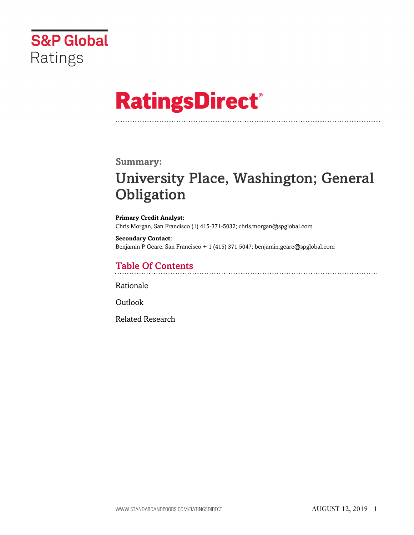

# **RatingsDirect®**

### **Summary:**

# University Place, Washington; General **Obligation**

**Primary Credit Analyst:** Chris Morgan, San Francisco (1) 415-371-5032; chris.morgan@spglobal.com

**Secondary Contact:** Benjamin P Geare, San Francisco + 1 (415) 371 5047; benjamin.geare@spglobal.com

# Table Of Contents

[Rationale](#page-1-0)

[Outlook](#page-5-0)

[Related Research](#page-6-0)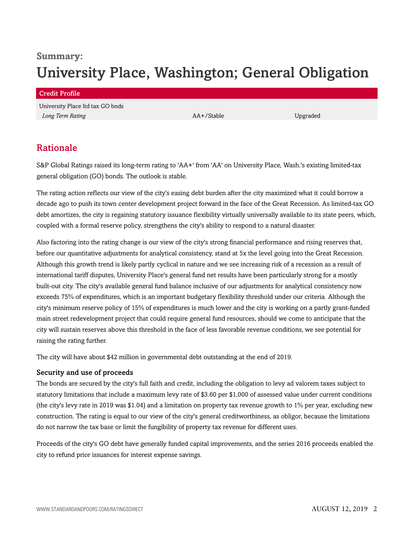# **Summary:** University Place, Washington; General Obligation

#### Credit Profile

University Place ltd tax GO bnds *Long Term Rating* Upgraded **AA+/Stable Upgraded** Upgraded

# <span id="page-1-0"></span>Rationale

S&P Global Ratings raised its long-term rating to 'AA+' from 'AA' on University Place, Wash.'s existing limited-tax general obligation (GO) bonds. The outlook is stable.

The rating action reflects our view of the city's easing debt burden after the city maximized what it could borrow a decade ago to push its town center development project forward in the face of the Great Recession. As limited-tax GO debt amortizes, the city is regaining statutory issuance flexibility virtually universally available to its state peers, which, coupled with a formal reserve policy, strengthens the city's ability to respond to a natural disaster.

Also factoring into the rating change is our view of the city's strong financial performance and rising reserves that, before our quantitative adjustments for analytical consistency, stand at 5x the level going into the Great Recession. Although this growth trend is likely partly cyclical in nature and we see increasing risk of a recession as a result of international tariff disputes, University Place's general fund net results have been particularly strong for a mostly built-out city. The city's available general fund balance inclusive of our adjustments for analytical consistency now exceeds 75% of expenditures, which is an important budgetary flexibility threshold under our criteria. Although the city's minimum reserve policy of 15% of expenditures is much lower and the city is working on a partly grant-funded main street redevelopment project that could require general fund resources, should we come to anticipate that the city will sustain reserves above this threshold in the face of less favorable revenue conditions, we see potential for raising the rating further.

The city will have about \$42 million in governmental debt outstanding at the end of 2019.

#### Security and use of proceeds

The bonds are secured by the city's full faith and credit, including the obligation to levy ad valorem taxes subject to statutory limitations that include a maximum levy rate of \$3.60 per \$1,000 of assessed value under current conditions (the city's levy rate in 2019 was \$1.04) and a limitation on property tax revenue growth to 1% per year, excluding new construction. The rating is equal to our view of the city's general creditworthiness, as obligor, because the limitations do not narrow the tax base or limit the fungibility of property tax revenue for different uses.

Proceeds of the city's GO debt have generally funded capital improvements, and the series 2016 proceeds enabled the city to refund prior issuances for interest expense savings.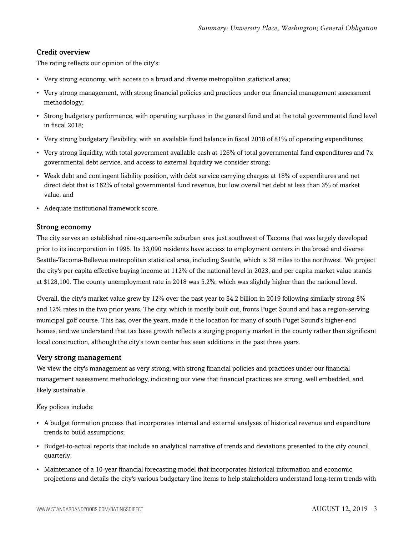#### Credit overview

The rating reflects our opinion of the city's:

- Very strong economy, with access to a broad and diverse metropolitan statistical area;
- Very strong management, with strong financial policies and practices under our financial management assessment methodology;
- Strong budgetary performance, with operating surpluses in the general fund and at the total governmental fund level in fiscal 2018;
- Very strong budgetary flexibility, with an available fund balance in fiscal 2018 of 81% of operating expenditures;
- Very strong liquidity, with total government available cash at 126% of total governmental fund expenditures and 7x governmental debt service, and access to external liquidity we consider strong;
- Weak debt and contingent liability position, with debt service carrying charges at 18% of expenditures and net direct debt that is 162% of total governmental fund revenue, but low overall net debt at less than 3% of market value; and
- Adequate institutional framework score.

#### Strong economy

The city serves an established nine-square-mile suburban area just southwest of Tacoma that was largely developed prior to its incorporation in 1995. Its 33,090 residents have access to employment centers in the broad and diverse Seattle-Tacoma-Bellevue metropolitan statistical area, including Seattle, which is 38 miles to the northwest. We project the city's per capita effective buying income at 112% of the national level in 2023, and per capita market value stands at \$128,100. The county unemployment rate in 2018 was 5.2%, which was slightly higher than the national level.

Overall, the city's market value grew by 12% over the past year to \$4.2 billion in 2019 following similarly strong 8% and 12% rates in the two prior years. The city, which is mostly built out, fronts Puget Sound and has a region-serving municipal golf course. This has, over the years, made it the location for many of south Puget Sound's higher-end homes, and we understand that tax base growth reflects a surging property market in the county rather than significant local construction, although the city's town center has seen additions in the past three years.

#### Very strong management

We view the city's management as very strong, with strong financial policies and practices under our financial management assessment methodology, indicating our view that financial practices are strong, well embedded, and likely sustainable.

Key polices include:

- A budget formation process that incorporates internal and external analyses of historical revenue and expenditure trends to build assumptions;
- Budget-to-actual reports that include an analytical narrative of trends and deviations presented to the city council quarterly;
- Maintenance of a 10-year financial forecasting model that incorporates historical information and economic projections and details the city's various budgetary line items to help stakeholders understand long-term trends with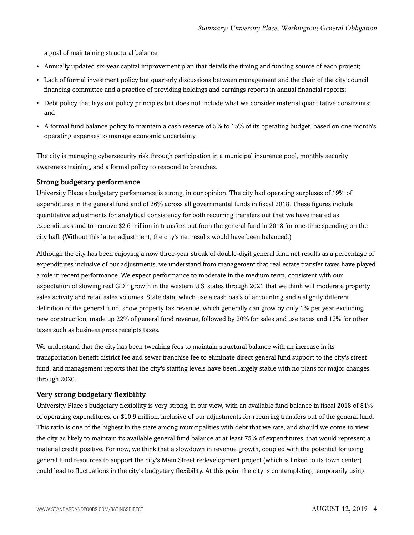a goal of maintaining structural balance;

- Annually updated six-year capital improvement plan that details the timing and funding source of each project;
- Lack of formal investment policy but quarterly discussions between management and the chair of the city council financing committee and a practice of providing holdings and earnings reports in annual financial reports;
- Debt policy that lays out policy principles but does not include what we consider material quantitative constraints; and
- A formal fund balance policy to maintain a cash reserve of 5% to 15% of its operating budget, based on one month's operating expenses to manage economic uncertainty.

The city is managing cybersecurity risk through participation in a municipal insurance pool, monthly security awareness training, and a formal policy to respond to breaches.

#### Strong budgetary performance

University Place's budgetary performance is strong, in our opinion. The city had operating surpluses of 19% of expenditures in the general fund and of 26% across all governmental funds in fiscal 2018. These figures include quantitative adjustments for analytical consistency for both recurring transfers out that we have treated as expenditures and to remove \$2.6 million in transfers out from the general fund in 2018 for one-time spending on the city hall. (Without this latter adjustment, the city's net results would have been balanced.)

Although the city has been enjoying a now three-year streak of double-digit general fund net results as a percentage of expenditures inclusive of our adjustments, we understand from management that real estate transfer taxes have played a role in recent performance. We expect performance to moderate in the medium term, consistent with our expectation of slowing real GDP growth in the western U.S. states through 2021 that we think will moderate property sales activity and retail sales volumes. State data, which use a cash basis of accounting and a slightly different definition of the general fund, show property tax revenue, which generally can grow by only 1% per year excluding new construction, made up 22% of general fund revenue, followed by 20% for sales and use taxes and 12% for other taxes such as business gross receipts taxes.

We understand that the city has been tweaking fees to maintain structural balance with an increase in its transportation benefit district fee and sewer franchise fee to eliminate direct general fund support to the city's street fund, and management reports that the city's staffing levels have been largely stable with no plans for major changes through 2020.

#### Very strong budgetary flexibility

University Place's budgetary flexibility is very strong, in our view, with an available fund balance in fiscal 2018 of 81% of operating expenditures, or \$10.9 million, inclusive of our adjustments for recurring transfers out of the general fund. This ratio is one of the highest in the state among municipalities with debt that we rate, and should we come to view the city as likely to maintain its available general fund balance at at least 75% of expenditures, that would represent a material credit positive. For now, we think that a slowdown in revenue growth, coupled with the potential for using general fund resources to support the city's Main Street redevelopment project (which is linked to its town center) could lead to fluctuations in the city's budgetary flexibility. At this point the city is contemplating temporarily using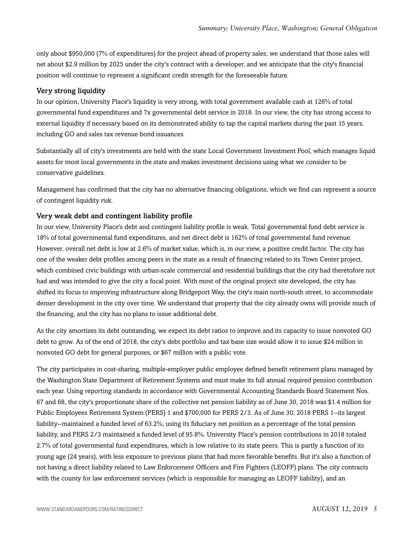only about \$950,000 (7% of expenditures) for the project ahead of property sales; we understand that those sales will net about \$2.9 million by 2025 under the city's contract with a developer, and we anticipate that the city's financial position will continue to represent a significant credit strength for the foreseeable future.

#### Very strong liquidity

In our opinion, University Place's liquidity is very strong, with total government available cash at 126% of total governmental fund expenditures and 7x governmental debt service in 2018. In our view, the city has strong access to external liquidity if necessary based on its demonstrated ability to tap the capital markets during the past 15 years, including GO and sales tax revenue bond issuances.

Substantially all of city's investments are held with the state Local Government Investment Pool, which manages liquid assets for most local governments in the state and makes investment decisions using what we consider to be conservative guidelines.

Management has confirmed that the city has no alternative financing obligations, which we find can represent a source of contingent liquidity risk.

#### Very weak debt and contingent liability profile

In our view, University Place's debt and contingent liability profile is weak. Total governmental fund debt service is 18% of total governmental fund expenditures, and net direct debt is 162% of total governmental fund revenue. However, overall net debt is low at 2.6% of market value, which is, in our view, a positive credit factor. The city has one of the weaker debt profiles among peers in the state as a result of financing related to its Town Center project, which combined civic buildings with urban-scale commercial and residential buildings that the city had theretofore not had and was intended to give the city a focal point. With most of the original project site developed, the city has shifted its focus to improving infrastructure along Bridgeport Way, the city's main north-south street, to accommodate denser development in the city over time. We understand that property that the city already owns will provide much of the financing, and the city has no plans to issue additional debt.

As the city amortizes its debt outstanding, we expect its debt ratios to improve and its capacity to issue nonvoted GO debt to grow. As of the end of 2018, the city's debt portfolio and tax base size would allow it to issue \$24 million in nonvoted GO debt for general purposes, or \$67 million with a public vote.

The city participates in cost-sharing, multiple-employer public employee defined benefit retirement plans managed by the Washington State Department of Retirement Systems and must make its full annual required pension contribution each year. Using reporting standards in accordance with Governmental Accounting Standards Board Statement Nos. 67 and 68, the city's proportionate share of the collective net pension liability as of June 30, 2018 was \$1.4 million for Public Employees Retirement System (PERS) 1 and \$700,000 for PERS 2/3. As of June 30, 2018 PERS 1--its largest liability--maintained a funded level of 63.2%, using its fiduciary net position as a percentage of the total pension liability, and PERS 2/3 maintained a funded level of 95.8%. University Place's pension contributions in 2018 totaled 2.7% of total governmental fund expenditures, which is low relative to its state peers. This is partly a function of its young age (24 years), with less exposure to previous plans that had more favorable benefits. But it's also a function of not having a direct liability related to Law Enforcement Officers and Fire Fighters (LEOFF) plans. The city contracts with the county for law enforcement services (which is responsible for managing an LEOFF liability), and an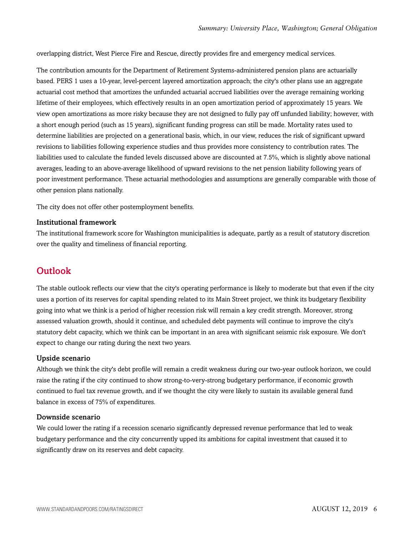overlapping district, West Pierce Fire and Rescue, directly provides fire and emergency medical services.

The contribution amounts for the Department of Retirement Systems-administered pension plans are actuarially based. PERS 1 uses a 10-year, level-percent layered amortization approach; the city's other plans use an aggregate actuarial cost method that amortizes the unfunded actuarial accrued liabilities over the average remaining working lifetime of their employees, which effectively results in an open amortization period of approximately 15 years. We view open amortizations as more risky because they are not designed to fully pay off unfunded liability; however, with a short enough period (such as 15 years), significant funding progress can still be made. Mortality rates used to determine liabilities are projected on a generational basis, which, in our view, reduces the risk of significant upward revisions to liabilities following experience studies and thus provides more consistency to contribution rates. The liabilities used to calculate the funded levels discussed above are discounted at 7.5%, which is slightly above national averages, leading to an above-average likelihood of upward revisions to the net pension liability following years of poor investment performance. These actuarial methodologies and assumptions are generally comparable with those of other pension plans nationally.

The city does not offer other postemployment benefits.

#### Institutional framework

The institutional framework score for Washington municipalities is adequate, partly as a result of statutory discretion over the quality and timeliness of financial reporting.

### <span id="page-5-0"></span>**Outlook**

The stable outlook reflects our view that the city's operating performance is likely to moderate but that even if the city uses a portion of its reserves for capital spending related to its Main Street project, we think its budgetary flexibility going into what we think is a period of higher recession risk will remain a key credit strength. Moreover, strong assessed valuation growth, should it continue, and scheduled debt payments will continue to improve the city's statutory debt capacity, which we think can be important in an area with significant seismic risk exposure. We don't expect to change our rating during the next two years.

#### Upside scenario

Although we think the city's debt profile will remain a credit weakness during our two-year outlook horizon, we could raise the rating if the city continued to show strong-to-very-strong budgetary performance, if economic growth continued to fuel tax revenue growth, and if we thought the city were likely to sustain its available general fund balance in excess of 75% of expenditures.

#### Downside scenario

We could lower the rating if a recession scenario significantly depressed revenue performance that led to weak budgetary performance and the city concurrently upped its ambitions for capital investment that caused it to significantly draw on its reserves and debt capacity.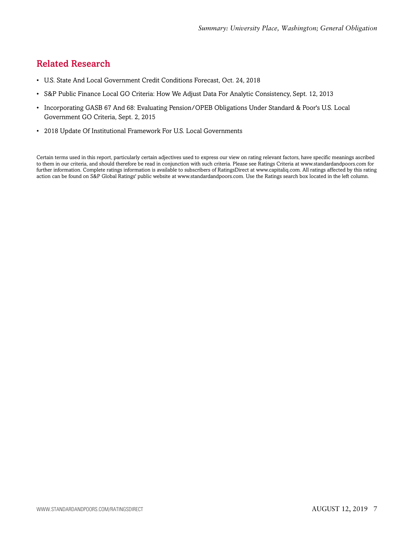# <span id="page-6-0"></span>Related Research

- U.S. State And Local Government Credit Conditions Forecast, Oct. 24, 2018
- S&P Public Finance Local GO Criteria: How We Adjust Data For Analytic Consistency, Sept. 12, 2013
- Incorporating GASB 67 And 68: Evaluating Pension/OPEB Obligations Under Standard & Poor's U.S. Local Government GO Criteria, Sept. 2, 2015
- 2018 Update Of Institutional Framework For U.S. Local Governments

Certain terms used in this report, particularly certain adjectives used to express our view on rating relevant factors, have specific meanings ascribed to them in our criteria, and should therefore be read in conjunction with such criteria. Please see Ratings Criteria at www.standardandpoors.com for further information. Complete ratings information is available to subscribers of RatingsDirect at www.capitaliq.com. All ratings affected by this rating action can be found on S&P Global Ratings' public website at www.standardandpoors.com. Use the Ratings search box located in the left column.